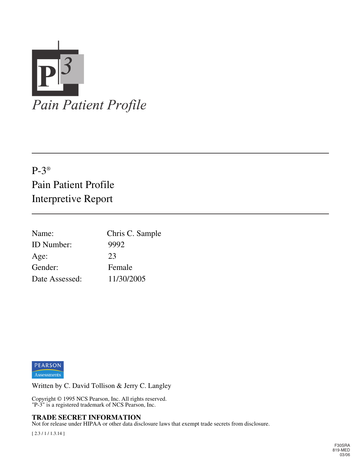

## P-3® Pain Patient Profile Interpretive Report

| Name:             | Chris C. Sample |
|-------------------|-----------------|
| <b>ID</b> Number: | 9992            |
| Age:              | 23              |
| Gender:           | Female          |
| Date Assessed:    | 11/30/2005      |



Written by C. David Tollison & Jerry C. Langley

Copyright © 1995 NCS Pearson, Inc. All rights reserved. "P-3" is a registered trademark of NCS Pearson, Inc.

#### **TRADE SECRET INFORMATION**

Not for release under HIPAA or other data disclosure laws that exempt trade secrets from disclosure.

[ 2.3 / 1 / 1.3.14 ]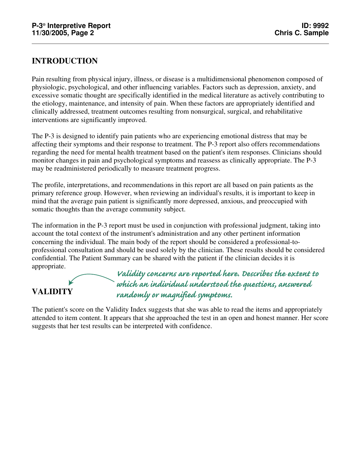## **INTRODUCTION**

Pain resulting from physical injury, illness, or disease is a multidimensional phenomenon composed of physiologic, psychological, and other influencing variables. Factors such as depression, anxiety, and excessive somatic thought are specifically identified in the medical literature as actively contributing to the etiology, maintenance, and intensity of pain. When these factors are appropriately identified and clinically addressed, treatment outcomes resulting from nonsurgical, surgical, and rehabilitative interventions are significantly improved.

The P-3 is designed to identify pain patients who are experiencing emotional distress that may be affecting their symptoms and their response to treatment. The P-3 report also offers recommendations regarding the need for mental health treatment based on the patient's item responses. Clinicians should monitor changes in pain and psychological symptoms and reassess as clinically appropriate. The P-3 may be readministered periodically to measure treatment progress.

The profile, interpretations, and recommendations in this report are all based on pain patients as the primary reference group. However, when reviewing an individual's results, it is important to keep in mind that the average pain patient is significantly more depressed, anxious, and preoccupied with somatic thoughts than the average community subject.

The information in the P-3 report must be used in conjunction with professional judgment, taking into account the total context of the instrument's administration and any other pertinent information concerning the individual. The main body of the report should be considered a professional-toprofessional consultation and should be used solely by the clinician. These results should be considered confidential. The Patient Summary can be shared with the patient if the clinician decides it is appropriate.



The patient's score on the Validity Index suggests that she was able to read the items and appropriately attended to item content. It appears that she approached the test in an open and honest manner. Her score suggests that her test results can be interpreted with confidence.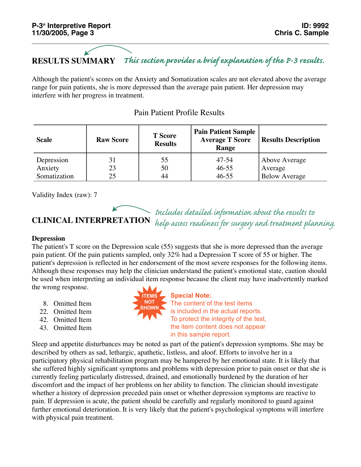#### **RESULTS SUMMARY** *This section provides a brief explanation of the P-3 results.*

Although the patient's scores on the Anxiety and Somatization scales are not elevated above the average range for pain patients, she is more depressed than the average pain patient. Her depression may interfere with her progress in treatment.

| <b>Scale</b>          | <b>Raw Score</b> | <b>T</b> Score<br><b>Results</b> | <b>Pain Patient Sample</b><br><b>Average T Score</b><br>Range | <b>Results Description</b> |
|-----------------------|------------------|----------------------------------|---------------------------------------------------------------|----------------------------|
| Depression<br>Anxiety | 31<br>23         | 55<br>50                         | $47 - 54$<br>$46 - 55$                                        | Above Average<br>Average   |
| Somatization          | 25               | 44                               | $46 - 55$                                                     | <b>Below Average</b>       |

## Pain Patient Profile Results

Validity Index (raw): 7

## **CLINICAL INTERPRETATION**

*Includes detailed information about the results to help assess readiness for surgery and treatment planning.* 

#### **Depression**

The patient's T score on the Depression scale (55) suggests that she is more depressed than the average pain patient. Of the pain patients sampled, only 32% had a Depression T score of 55 or higher. The patient's depression is reflected in her endorsement of the most severe responses for the following items. Although these responses may help the clinician understand the patient's emotional state, caution should be used when interpreting an individual item response because the client may have inadvertently marked the wrong response.

8. Omitted Item

- 22. Omitted Item
- 42. Omitted Item
- 43. Omitted Item



**Special Note:** The content of the test items is included in the actual reports. To protect the integrity of the test, the item content does not appear in this sample report.

Sleep and appetite disturbances may be noted as part of the patient's depression symptoms. She may be described by others as sad, lethargic, apathetic, listless, and aloof. Efforts to involve her in a participatory physical rehabilitation program may be hampered by her emotional state. It is likely that she suffered highly significant symptoms and problems with depression prior to pain onset or that she is currently feeling particularly distressed, drained, and emotionally burdened by the duration of her discomfort and the impact of her problems on her ability to function. The clinician should investigate whether a history of depression preceded pain onset or whether depression symptoms are reactive to pain. If depression is acute, the patient should be carefully and regularly monitored to guard against further emotional deterioration. It is very likely that the patient's psychological symptoms will interfere with physical pain treatment.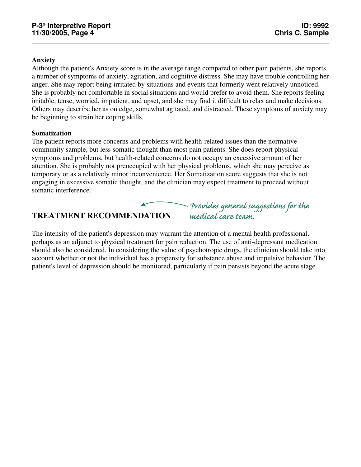### **Anxiety**

Although the patient's Anxiety score is in the average range compared to other pain patients, she reports a number of symptoms of anxiety, agitation, and cognitive distress. She may have trouble controlling her anger. She may report being irritated by situations and events that formerly went relatively unnoticed. She is probably not comfortable in social situations and would prefer to avoid them. She reports feeling irritable, tense, worried, impatient, and upset, and she may find it difficult to relax and make decisions. Others may describe her as on edge, somewhat agitated, and distracted. These symptoms of anxiety may be beginning to strain her coping skills.

#### **Somatization**

The patient reports more concerns and problems with health-related issues than the normative community sample, but less somatic thought than most pain patients. She does report physical symptoms and problems, but health-related concerns do not occupy an excessive amount of her attention. She is probably not preoccupied with her physical problems, which she may perceive as temporary or as a relatively minor inconvenience. Her Somatization score suggests that she is not engaging in excessive somatic thought, and the clinician may expect treatment to proceed without somatic interference.

## **TREATMENT RECOMMENDATION**

The intensity of the patient's depression may warrant the attention of a mental health professional, perhaps as an adjunct to physical treatment for pain reduction. The use of anti-depressant medication should also be considered. In considering the value of psychotropic drugs, the clinician should take into account whether or not the individual has a propensity for substance abuse and impulsive behavior. The *medical care team.*

*Provides general suggestions for the* 

patient's level of depression should be monitored, particularly if pain persists beyond the acute stage.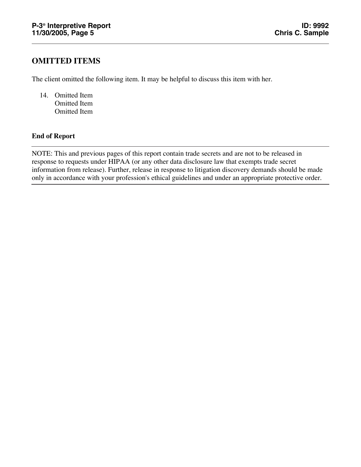## **OMITTED ITEMS**

The client omitted the following item. It may be helpful to discuss this item with her.

14. Omitted Item Omitted Item Omitted Item

## **End of Report**

NOTE: This and previous pages of this report contain trade secrets and are not to be released in response to requests under HIPAA (or any other data disclosure law that exempts trade secret information from release). Further, release in response to litigation discovery demands should be made only in accordance with your profession's ethical guidelines and under an appropriate protective order.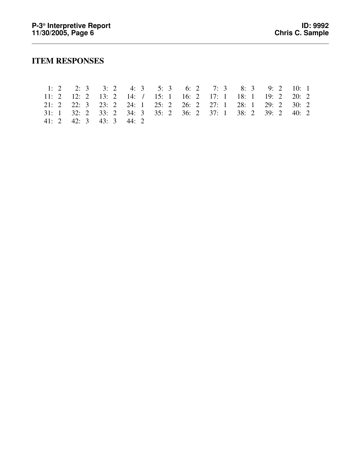## **ITEM RESPONSES**

|  |  | 1: 2 2: 3 3: 2 4: 3 5: 3 6: 2 7: 3 8: 3 9: 2 10: 1          |  |  |  |
|--|--|-------------------------------------------------------------|--|--|--|
|  |  | 11: 2 12: 2 13: 2 14: / 15: 1 16: 2 17: 1 18: 1 19: 2 20: 2 |  |  |  |
|  |  | 21: 2 22: 3 23: 2 24: 1 25: 2 26: 2 27: 1 28: 1 29: 2 30: 2 |  |  |  |
|  |  | 31: 1 32: 2 33: 2 34: 3 35: 2 36: 2 37: 1 38: 2 39: 2 40: 2 |  |  |  |
|  |  | $41: 2$ $42: 3$ $43: 3$ $44: 2$                             |  |  |  |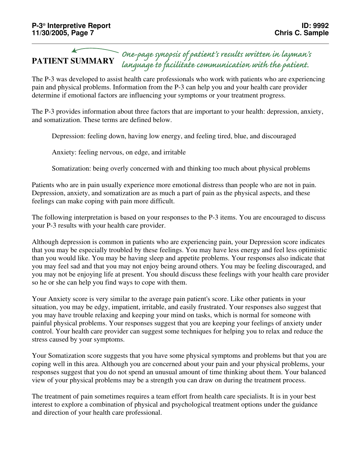#### **PATIENT SUMMARY** *One-page synopsis of patient's results written in layman's language to facilitate communication with the patient.*

The P-3 was developed to assist health care professionals who work with patients who are experiencing pain and physical problems. Information from the P-3 can help you and your health care provider determine if emotional factors are influencing your symptoms or your treatment progress.

The P-3 provides information about three factors that are important to your health: depression, anxiety, and somatization. These terms are defined below.

Depression: feeling down, having low energy, and feeling tired, blue, and discouraged

Anxiety: feeling nervous, on edge, and irritable

Somatization: being overly concerned with and thinking too much about physical problems

Patients who are in pain usually experience more emotional distress than people who are not in pain. Depression, anxiety, and somatization are as much a part of pain as the physical aspects, and these feelings can make coping with pain more difficult.

The following interpretation is based on your responses to the P-3 items. You are encouraged to discuss your P-3 results with your health care provider.

Although depression is common in patients who are experiencing pain, your Depression score indicates that you may be especially troubled by these feelings. You may have less energy and feel less optimistic than you would like. You may be having sleep and appetite problems. Your responses also indicate that you may feel sad and that you may not enjoy being around others. You may be feeling discouraged, and you may not be enjoying life at present. You should discuss these feelings with your health care provider so he or she can help you find ways to cope with them.

Your Anxiety score is very similar to the average pain patient's score. Like other patients in your situation, you may be edgy, impatient, irritable, and easily frustrated. Your responses also suggest that you may have trouble relaxing and keeping your mind on tasks, which is normal for someone with painful physical problems. Your responses suggest that you are keeping your feelings of anxiety under control. Your health care provider can suggest some techniques for helping you to relax and reduce the stress caused by your symptoms.

Your Somatization score suggests that you have some physical symptoms and problems but that you are coping well in this area. Although you are concerned about your pain and your physical problems, your responses suggest that you do not spend an unusual amount of time thinking about them. Your balanced view of your physical problems may be a strength you can draw on during the treatment process.

The treatment of pain sometimes requires a team effort from health care specialists. It is in your best interest to explore a combination of physical and psychological treatment options under the guidance and direction of your health care professional.